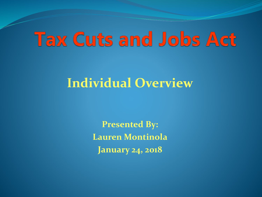# **Tax Cuts and Jobs Act**

#### **Individual Overview**

**Presented By: Lauren Montinola January 24, 2018**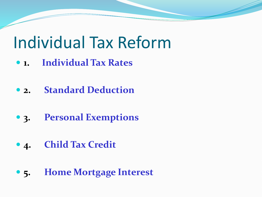# Individual Tax Reform

- **1. Individual Tax Rates**
- **2. Standard Deduction**
- **3. Personal Exemptions**
- **4. Child Tax Credit**
- **5. Home Mortgage Interest**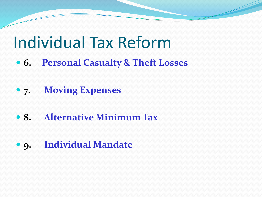#### Individual Tax Reform

- **6. Personal Casualty & Theft Losses**
- **7. Moving Expenses**
- **8. Alternative Minimum Tax**
- **9. Individual Mandate**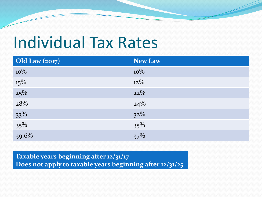# Individual Tax Rates

| Old Law $(2017)$ | <b>New Law</b>      |
|------------------|---------------------|
| $10\%$           | $10\%$              |
| $15\%$           | $12\%$              |
| $25\%$           | $22\%$              |
| 28%              |                     |
| $33\%$           | $\frac{24\%}{32\%}$ |
| $35\%$<br>39.6%  | $35\%$              |
|                  | $37\%$              |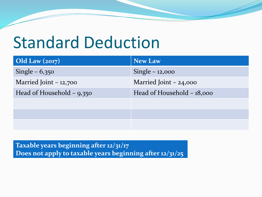# Standard Deduction

| Old Law $(2017)$            | <b>New Law</b>             |
|-----------------------------|----------------------------|
| Single $-6,350$             | Single $-12,000$           |
| Married Joint $-12,700$     | Married Joint $-24,000$    |
| Head of Household $-$ 9,350 | Head of Household – 18,000 |
|                             |                            |
|                             |                            |
|                             |                            |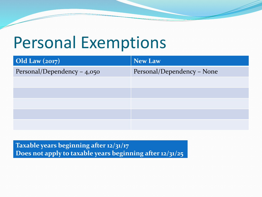## Personal Exemptions

| Old Law $(2017)$              | <b>New Law</b>             |
|-------------------------------|----------------------------|
| Personal/Dependency - $4,050$ | Personal/Dependency - None |
|                               |                            |
|                               |                            |
|                               |                            |
|                               |                            |
|                               |                            |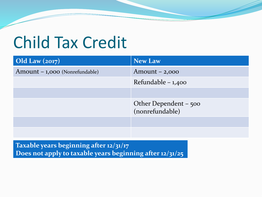# Child Tax Credit

| Old Law $(2017)$               | <b>New Law</b>                           |
|--------------------------------|------------------------------------------|
| Amount - 1,000 (Nonrefundable) | $Amount - 2,000$                         |
|                                | Refundable - 1,400                       |
|                                |                                          |
|                                | Other Dependent – 500<br>(nonrefundable) |
|                                |                                          |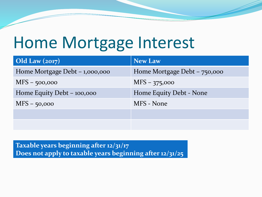# Home Mortgage Interest

| $\left  \text{Old Law} \left( \text{2017} \right) \right $ | <b>New Law</b>               |
|------------------------------------------------------------|------------------------------|
| Home Mortgage Debt $-1,000,000$                            | Home Mortgage Debt – 750,000 |
| $MFS - 500,000$                                            | $MFS - 375,000$              |
| Home Equity Debt – 100,000                                 | Home Equity Debt - None      |
| $MFS - 50,000$                                             | MFS - None                   |
|                                                            |                              |
|                                                            |                              |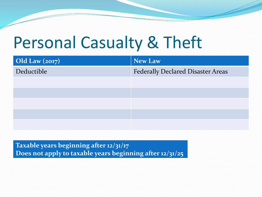## Personal Casualty & Theft

| Old Law $(2017)$ | <b>New Law</b>                           |
|------------------|------------------------------------------|
| Deductible       | <b>Federally Declared Disaster Areas</b> |
|                  |                                          |
|                  |                                          |
|                  |                                          |
|                  |                                          |
|                  |                                          |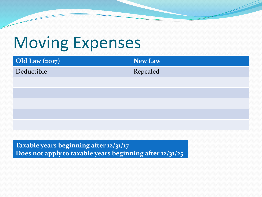## Moving Expenses

| <b>Old Law (2017)</b> | New Law  |
|-----------------------|----------|
| Deductible            | Repealed |
|                       |          |
|                       |          |
|                       |          |
|                       |          |
|                       |          |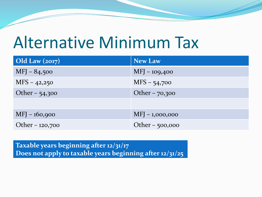## Alternative Minimum Tax

| Old Law $(2017)$ | <b>New Law</b>    |
|------------------|-------------------|
| $MFJ - 84,500$   | $MFJ - 109,400$   |
| $MFS - 42,250$   | $MFS - 54,700$    |
| Other - 54,300   | Other $-70,300$   |
|                  |                   |
| $MFJ - 160,900$  | $MFJ - 1,000,000$ |
| Other - 120,700  | Other - 500,000   |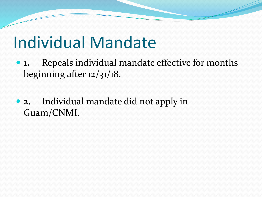## Individual Mandate

- **1.** Repeals individual mandate effective for months beginning after 12/31/18.
- **2.** Individual mandate did not apply in Guam/CNMI.